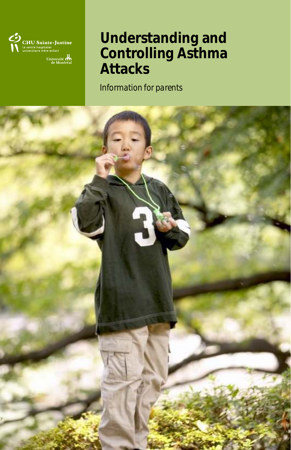

Université<br>Université<br>de Montréal

# **Understanding and Controlling Asthma Attacks**

*Information for parents*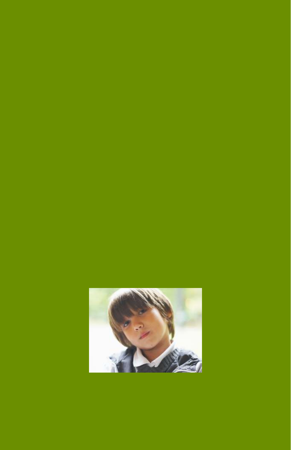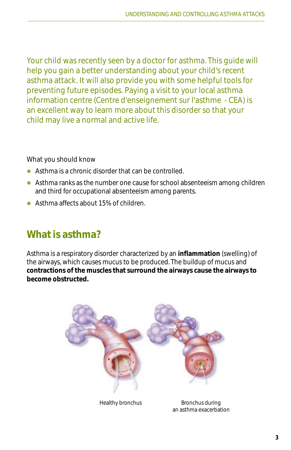**Your child was recently seen by a doctor for asthma. This guide will help you gain a better understanding about your child's recent asthma attack. It will also provide you with some helpful tools for preventing future episodes. Paying a visit to your local asthma information centre (Centre d'enseignement sur l'asthme - CEA) is an excellent way to learn more about this disorder so that your child may live a normal and active life.**

**What you should know**

- Asthma is a chronic disorder that can be controlled.
- Asthma ranks as the number one cause for school absenteeism among children and third for occupational absenteeism among parents.
- Asthma affects about 15% of children.

## **What is asthma?**

Asthma is a respiratory disorder characterized by an **inflammation** (swelling) of the airways, which causes mucus to be produced. The buildup of mucus and **contractions of the muscles that surround the airways cause the airways to become obstructed.** 



Healthy bronchus Bronchus during an asthma exacerbation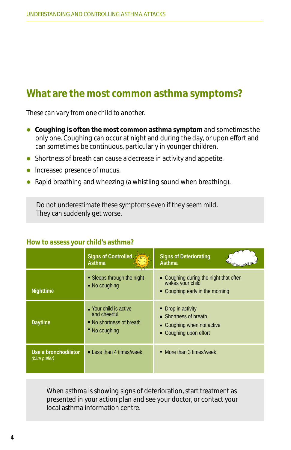## **What are the most common asthma symptoms?**

*These can vary from one child to another.* 

- **Coughing is often the most common asthma symptom** and sometimes the l only one. Coughing can occur at night and during the day, or upon effort and can sometimes be continuous, particularly in younger children.
- Shortness of breath can cause a decrease in activity and appetite.
- Increased presence of mucus.
- Rapid breathing and wheezing (a whistling sound when breathing).

Do not underestimate these symptoms even if they seem mild. They can suddenly get worse.

#### **How to assess your child's asthma?**

|                                       | <b>Signs of Controlled</b><br>Asthma                                                | Signs of Deteriorating<br>Asthma                                                                |
|---------------------------------------|-------------------------------------------------------------------------------------|-------------------------------------------------------------------------------------------------|
| <b>Nighttime</b>                      | • Sleeps through the night<br>$\blacksquare$ No coughing                            | • Coughing during the night that often<br>wakes your child<br>Coughing early in the morning     |
| Daytime                               | - Your child is active<br>and cheerful<br>• No shortness of breath<br>• No coughing | • Drop in activity<br>• Shortness of breath<br>Coughing when not active<br>Coughing upon effort |
| Use a bronchodilator<br>(blue puffer) | Less than 4 times/week,                                                             | • More than 3 times/week                                                                        |

When asthma is showing signs of deterioration, start treatment as presented in your action plan and see your doctor, or contact your local asthma information centre.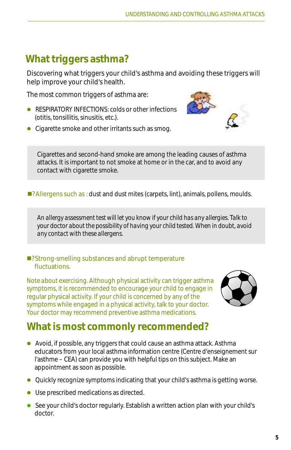**5**

## **What triggers asthma?**

**Discovering what triggers your child's asthma and avoiding these triggers will help improve your child's health.** 

The most common triggers of asthma are:

- RESPIRATORY INFECTIONS: colds or other infections (otitis, tonsillitis, sinusitis, etc.).
- Cigarette smoke and other irritants such as smog.

Cigarettes and second-hand smoke are among the leading causes of asthma attacks. It is important to not smoke at home or in the car, and to avoid any contact with cigarette smoke.

■? Allergens such as : dust and dust mites (carpets, lint), animals, pollens, moulds.

*An allergy assessment test will let you know if your child has any allergies. Talk to your doctor about the possibility of having your child tested. When in doubt, avoid any contact with these allergens.*

### ■?Strong-smelling substances and abrupt temperature **fluctuations.**

*Note about exercising.* Although physical activity can trigger asthma symptoms, it is recommended to encourage your child to engage in regular physical activity. If your child is concerned by any of the symptoms while engaged in a physical activity, talk to your doctor. Your doctor may recommend preventive asthma medications*.*

## **What is most commonly recommended?**

- Avoid, if possible, any triggers that could cause an asthma attack. Asthma educators from your local asthma information centre (Centre d'enseignement sur l'asthme – CEA) can provide you with helpful tips on this subject. Make an appointment as soon as possible.
- **.** Quickly recognize symptoms indicating that your child's asthma is getting worse.
- **.** Use prescribed medications as directed.
- $\bullet$  See your child's doctor regularly. Establish a written action plan with your child's doctor.



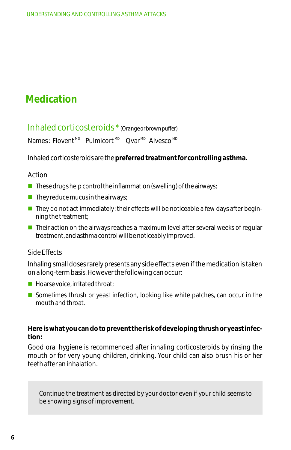## **Medication**

### **Inhaled corticosteroids \*** *(Orange or brown puffer)*

Names: Flovent MD Pulmicort MD Ovar MD Alvesco MD

Inhaled corticosteroids are the **preferred treatment for controlling asthma.**

### **Action**

- **n** These drugs help control the inflammation (swelling) of the airways;
- $\blacksquare$  They reduce mucus in the airways;
- They do not act immediately: their effects will be noticeable a few days after beginning the treatment;
- Their action on the airways reaches a maximum level after several weeks of regular treatment, and asthma control will be noticeably improved.

### **Side Effects**

Inhaling small doses rarely presents any side effects even if the medication is taken on a long-term basis. However the following can occur:

- **Hoarse voice, irritated throat;**
- Sometimes thrush or yeast infection, looking like white patches, can occur in the mouth and throat.

**Here is what you can do to prevent the risk of developing thrush or yeast infection:** 

Good oral hygiene is recommended after inhaling corticosteroids by rinsing the mouth or for very young children, drinking. Your child can also brush his or her teeth after an inhalation.

Continue the treatment as directed by your doctor even if your child seems to be showing signs of improvement.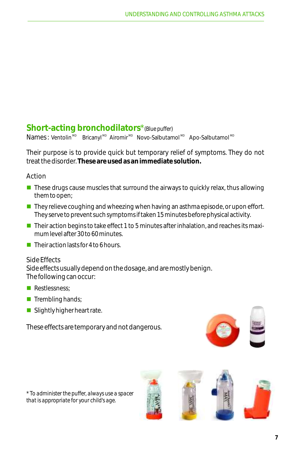### **Short-acting bronchodilators\*** *(Blue puffer)*

Names: Ventolin<sup>MD</sup> Bricanyl<sup>MD</sup> Airomir<sup>MD</sup> Novo-Salbutamol<sup>MD</sup> Apo-Salbutamol<sup>MD</sup>

Their purpose is to provide quick but temporary relief of symptoms. They do not treat the disorder. **These are used as an immediate solution.**

**Action**

- These drugs cause muscles that surround the airways to quickly relax, thus allowing them to open;
- **They relieve coughing and wheezing when having an asthma episode, or upon effort.** They serve to prevent such symptoms if taken 15 minutes before physical activity.
- **Their action begins to take effect 1 to 5 minutes after inhalation, and reaches its maxi**mum level after 30 to 60 minutes.
- **n** Their action lasts for 4 to 6 hours.

### **Side Effects**

Side effects usually depend on the dosage, and are mostly benign. The following can occur:

- **Restlessness**;
- **Trembling hands;**
- **Burghtly higher heart rate.**

These effects are temporary and not dangerous.







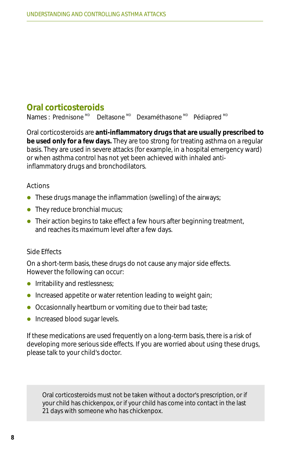### **Oral corticosteroids**

Names : Prednisone MD Deltasone MD Dexaméthasone MD Pédiapred MD

Oral corticosteroids are **anti-inflammatory drugs that are usually prescribed to be used only for a few days.** They are too strong for treating asthma on a regular basis. They are used in severe attacks (for example, in a hospital emergency ward) or when asthma control has not yet been achieved with inhaled antiinflammatory drugs and bronchodilators.

### **Actions**

- These drugs manage the inflammation (swelling) of the airways;
- They reduce bronchial mucus;
- Their action begins to take effect a few hours after beginning treatment, and reaches its maximum level after a few days.

### **Side Effects**

On a short-term basis, these drugs do not cause any major side effects. However the following can occur:

- **•** Irritability and restlessness;
- **•** Increased appetite or water retention leading to weight gain;
- Occasionnally heartburn or vomiting due to their bad taste;
- **.** Increased blood sugar levels.

If these medications are used frequently on a long-term basis, there is a risk of developing more serious side effects. If you are worried about using these drugs, please talk to your child's doctor.

Oral corticosteroids must not be taken without a doctor's prescription, or if your child has chickenpox, or if your child has come into contact in the last 21 days with someone who has chickenpox.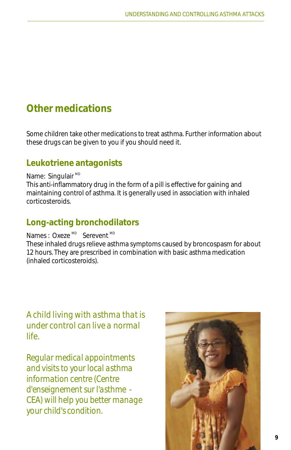## **Other medications**

Some children take other medications to treat asthma. Further information about these drugs can be given to you if you should need it.

### **Leukotriene antagonists**

Name: Singulair<sup>MD</sup>

This anti-inflammatory drug in the form of a pill is effective for gaining and maintaining control of asthma. It is generally used in association with inhaled corticosteroids.

### **Long-acting bronchodilators**

Names : Oxeze<sup>MD</sup> Serevent<sup>MD</sup> These inhaled drugs relieve asthma symptoms caused by broncospasm for about 12 hours. They are prescribed in combination with basic asthma medication (inhaled corticosteroids).

*A child living with asthma that is under control can live a normal life.*

*Regular medical appointments and visits to your local asthma information centre (Centre d'enseignement sur l'asthme - CEA) will help you better manage your child's condition.*

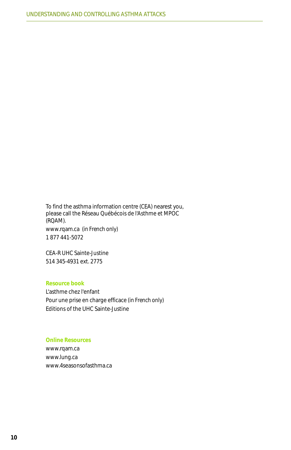To find the asthma information centre (CEA) nearest you, please call the Réseau Québécois de l'Asthme et MPOC (RQAM). www.rqam.ca *(in French only)* 1 877 441-5072

CEA-R UHC Sainte-Justine 514 345-4931 ext. 2775

#### **Resource book**

L'asthme chez l'enfant Pour une prise en charge efficace *(in French only)*  Editions of the UHC Sainte-Justine

#### **Online Resources**

www.rqam.ca www.lung.ca www.4seasonsofasthma.ca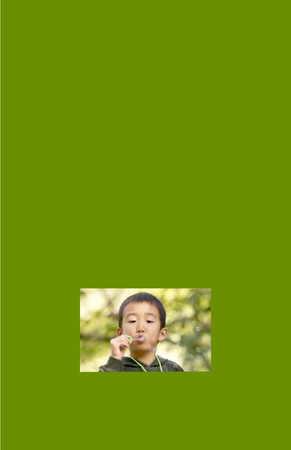